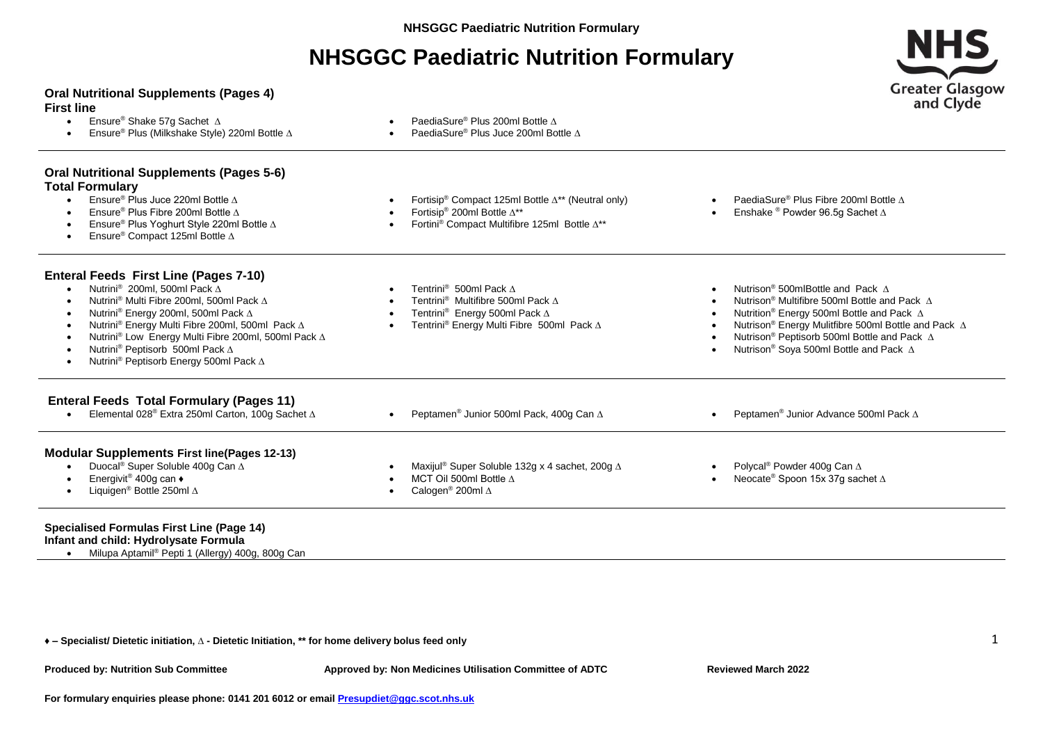# **NHSGGC Paediatric Nutrition Formulary**



#### **Oral Nutritional Supplements (Pages 4) First line**

- 
- Ensure<sup>®</sup> Plus (Milkshake Style) 220ml Bottle ∆
- Ensure® Shake 57g Sachet **∆** PaediaSure® Plus 200ml Bottle ∆
	-

#### **Oral Nutritional Supplements (Pages 5-6) Total Formulary**<br>• Fosure® Plus Juce 220ml Bottle A Ensure® Plus Juce 220ml Bottle ∆ Fortisip® Compact 125ml Bottle **∆**\*\* (Neutral only) PaediaSure® Plus Fibre 200ml Bottle ∆ Ensure® Plus Fibre 200ml Bottle ∆ Fortisip® 200ml Bottle **∆**\*\* Enshake ® Powder 96.5g Sachet ∆ Ensure® Plus Yoghurt Style 220ml Bottle ∆ Fortini® Compact Multifibre 125ml Bottle **∆**\*\* Ensure® Compact 125ml Bottle **∆ Enteral Feeds First Line (Pages 7-10)** Nutrini® 200ml, 500ml Pack **∆** Tentrini® 500ml Pack **∆** Nutrison® 500mlBottle and Pack **∆** Nutrini<sup>®</sup> Multi Fibre 200ml, 500ml Pack Δ Multifibre 500ml Pack **∆** Nutrison® Multifibre 500ml Bottle and Pack **∆** Nutrini® Energy 200ml, 500ml Pack ∆<br>Nutrini® Energy Multi Fibre 200ml, 500ml Pack ∆ **by Tentrini® Energy Multi Fibre 500ml Pack ∆**<br>**•** Tentrini® Energy Multi Fibre 200ml, 500ml Pack ∆ **by and the Soling Tentrini®** Energy **•** Nutrition® Energy 500ml Bottle and Pack Δ<br>**•** Nutrison® Energy Mulitfibre 500ml Bottle and Pack Δ Nutrini® Energy Multi Fibre 200ml, 500ml Pack ∆ **●** Tentrini® Energy Multi Fibre 500ml Pack ∆ ● Nutrison® Energy Mulitfibre 500ml Bottle and Pack ∆<br>Nutrini® Low Energy Multi Fibre 200ml. 500ml Pack ∆ **● Pack A** Bottle and Nutrini® Low Energy Multi Fibre 200ml, 500ml Pack ∆ **and Pack and Pack and Pack and Pack and Pack and Pack and Pack and Pack and Pack and Pack and Pack and Pack and Pack and Pack and Pack and Pack and Pack and Pack and Pa** Nutrison<sup>®</sup> Soya 500ml Bottle and Pack ∆ Nutrini® Peptisorb Energy 500ml Pack **∆ Enteral Feeds Total Formulary (Pages 11)** Elemental 028® Extra 250ml Carton, 100g Sachet **∆** Peptamen® Junior 500ml Pack, 400g Can **∆** Peptamen® Junior Advance 500ml Pack **∆ Modular Supplements First line(Pages 12-13)**<br>• Duocal® Super Soluble 400g Can A Ouocal<sup>®</sup> Super Soluble 400g Can ∆ Maxijul® Super Soluble 132g x 4 sachet, 200g ∆ Polycal® Powder 400g Can ∆<br>
■ MCT Oil 500ml Bottle ∆ Powder ® Spoon 15x 37g sachet, 200g ∆ Powder® Spoon 15x 37g sachet, 200g ∆ Powde MCT Oil 500ml Bottle ∆ **Annual Acception Accepts 400g can a** Accepts Accepts Accepts Accepts Accepts Accepts Accepts Accepts Accepts Accepts Accepts Accepts Accepts Accepts Accepts Accepts Accepts Accepts Accepts Accepts Liquigen<sup>®</sup> Bottle 250ml ∆

#### **Specialised Formulas First Line (Page 14)**

**Infant and child: Hydrolysate Formula**

Milupa Aptamil® Pepti 1 (Allergy) 400g, 800g Can

**♦ – Specialist/ Dietetic initiation, ∆ - Dietetic Initiation, \*\* for home delivery bolus feed only**

**Produced by: Nutrition Sub Committee Approved by: Non Medicines Utilisation Committee of ADTC Reviewed March 2022**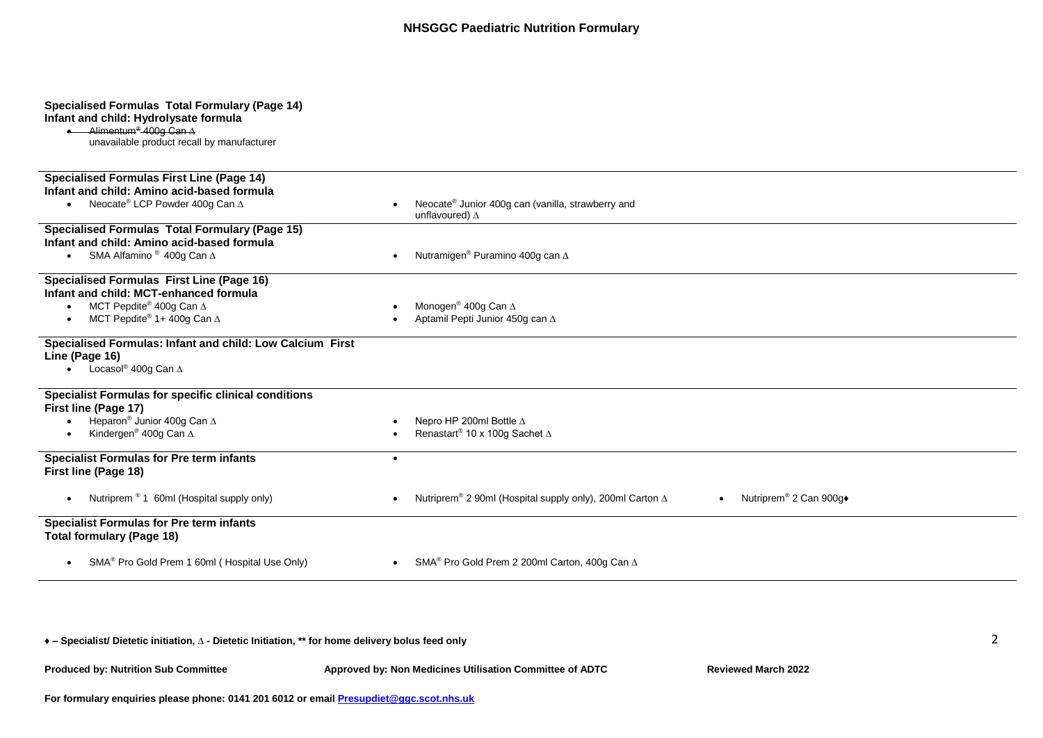| <b>Specialised Formulas Total Formulary (Page 14)</b>                               |                                                                                                       |
|-------------------------------------------------------------------------------------|-------------------------------------------------------------------------------------------------------|
| Infant and child: Hydrolysate formula                                               |                                                                                                       |
| • Alimentum <sup>®</sup> 400g Can A                                                 |                                                                                                       |
| unavailable product recall by manufacturer                                          |                                                                                                       |
|                                                                                     |                                                                                                       |
| <b>Specialised Formulas First Line (Page 14)</b>                                    |                                                                                                       |
| Infant and child: Amino acid-based formula                                          |                                                                                                       |
| Neocate® LCP Powder 400g Can $\Delta$<br>$\bullet$                                  | Neocate <sup>®</sup> Junior 400g can (vanilla, strawberry and<br>unflavoured) $\Delta$                |
| <b>Specialised Formulas Total Formulary (Page 15)</b>                               |                                                                                                       |
| Infant and child: Amino acid-based formula                                          |                                                                                                       |
| SMA Alfamino ® 400q Can $\Delta$                                                    | Nutramigen <sup>®</sup> Puramino 400g can ∆                                                           |
| <b>Specialised Formulas First Line (Page 16)</b>                                    |                                                                                                       |
| Infant and child: MCT-enhanced formula                                              |                                                                                                       |
| MCT Pepdite <sup>®</sup> 400g Can $\Delta$                                          | Monogen <sup>®</sup> 400g Can $\Delta$                                                                |
| MCT Pepdite <sup>®</sup> 1+ 400g Can $\Delta$                                       | Aptamil Pepti Junior 450g can A                                                                       |
| Specialised Formulas: Infant and child: Low Calcium First                           |                                                                                                       |
| Line (Page 16)                                                                      |                                                                                                       |
| Locasol® 400g Can $\Delta$<br>$\bullet$                                             |                                                                                                       |
| <b>Specialist Formulas for specific clinical conditions</b>                         |                                                                                                       |
| First line (Page 17)                                                                |                                                                                                       |
| Heparon <sup>®</sup> Junior 400g Can A                                              | Nepro HP 200ml Bottle $\Delta$                                                                        |
| Kindergen <sup>®</sup> 400g Can $\Delta$                                            | Renastart <sup>®</sup> 10 x 100g Sachet ∆                                                             |
| <b>Specialist Formulas for Pre term infants</b>                                     | $\bullet$                                                                                             |
| First line (Page 18)                                                                |                                                                                                       |
| Nutriprem <sup>®</sup> 1 60ml (Hospital supply only)<br>$\bullet$                   | Nutriprem® 2 90ml (Hospital supply only), 200ml Carton $\Delta$<br>Nutriprem <sup>®</sup> 2 Can 900g◆ |
|                                                                                     |                                                                                                       |
| <b>Specialist Formulas for Pre term infants</b><br><b>Total formulary (Page 18)</b> |                                                                                                       |
|                                                                                     |                                                                                                       |
| SMA <sup>®</sup> Pro Gold Prem 1 60ml (Hospital Use Only)<br>$\bullet$              | SMA <sup>®</sup> Pro Gold Prem 2 200ml Carton, 400g Can A<br>$\bullet$                                |

**♦ – Specialist/ Dietetic initiation, ∆ - Dietetic Initiation, \*\* for home delivery bolus feed only**

Produced by: Nutrition Sub Committee **Approved by: Non Medicines Utilisation Committee of ADTC** Reviewed March 2022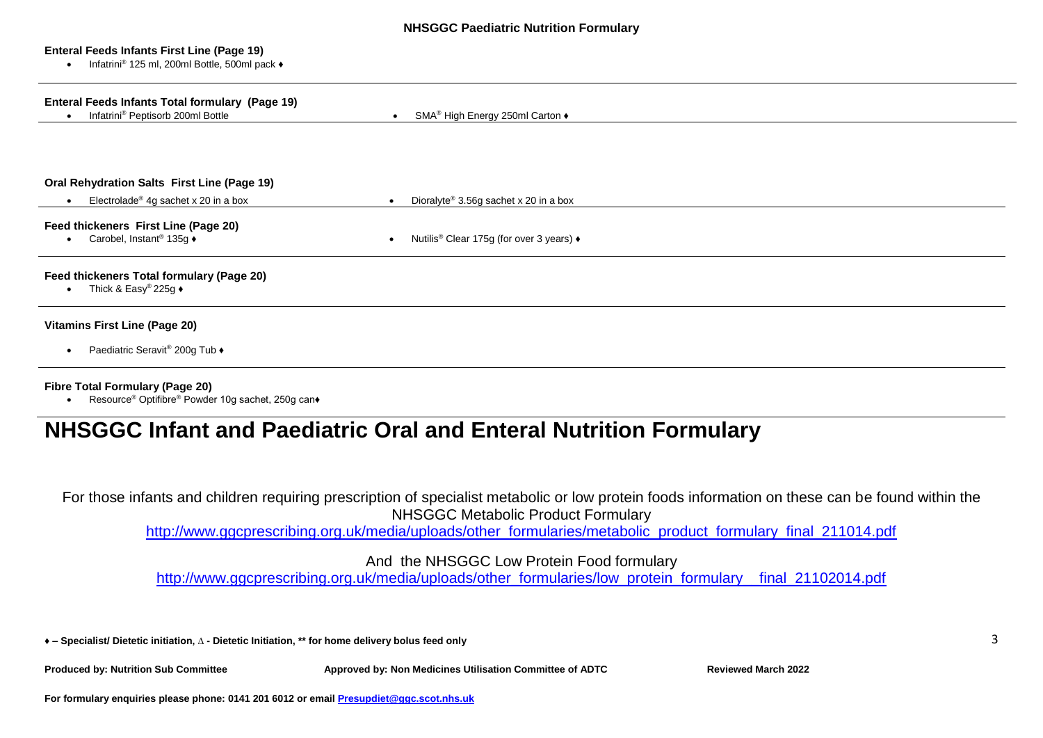#### **Enteral Feeds Infants First Line (Page 19)**

Infatrini® 125 ml, 200ml Bottle, 500ml pack **♦**

| <b>Enteral Feeds Infants Total formulary (Page 19)</b><br>Infatrini® Peptisorb 200ml Bottle<br>$\bullet$ | SMA <sup>®</sup> High Energy 250ml Carton ♦<br>$\bullet$          |
|----------------------------------------------------------------------------------------------------------|-------------------------------------------------------------------|
|                                                                                                          |                                                                   |
| Oral Rehydration Salts First Line (Page 19)                                                              |                                                                   |
| Electrolade <sup>®</sup> 4g sachet x 20 in a box<br>$\bullet$                                            | Dioralyte <sup>®</sup> 3.56g sachet x 20 in a box<br>$\bullet$    |
| Feed thickeners First Line (Page 20)<br>Carobel, Instant <sup>®</sup> 135g ♦<br>$\bullet$                | Nutilis <sup>®</sup> Clear 175g (for over 3 years) ♦<br>$\bullet$ |
| Feed thickeners Total formulary (Page 20)<br>Thick & Easy® 225g ♦<br>$\bullet$                           |                                                                   |
| <b>Vitamins First Line (Page 20)</b>                                                                     |                                                                   |
| Paediatric Seravit <sup>®</sup> 200g Tub ♦<br>$\bullet$                                                  |                                                                   |
| <b>Fibre Total Formulary (Page 20)</b>                                                                   |                                                                   |

Resource® Optifibre® Powder 10g sachet, 250g can♦

# **NHSGGC Infant and Paediatric Oral and Enteral Nutrition Formulary**

For those infants and children requiring prescription of specialist metabolic or low protein foods information on these can be found within the NHSGGC Metabolic Product Formulary

[http://www.ggcprescribing.org.uk/media/uploads/other\\_formularies/metabolic\\_product\\_formulary\\_final\\_211014.pdf](http://www.ggcprescribing.org.uk/media/uploads/other_formularies/metabolic_product_formulary_final_211014.pdf)

#### And the NHSGGC Low Protein Food formulary

[http://www.ggcprescribing.org.uk/media/uploads/other\\_formularies/low\\_protein\\_formulary\\_\\_final\\_21102014.pdf](http://www.ggcprescribing.org.uk/media/uploads/other_formularies/low_protein_formulary__final_21102014.pdf)

**♦ – Specialist/ Dietetic initiation, ∆ - Dietetic Initiation, \*\* for home delivery bolus feed only**

**Produced by: Nutrition Sub Committee Approved by: Non Medicines Utilisation Committee of ADTC Reviewed March 2022**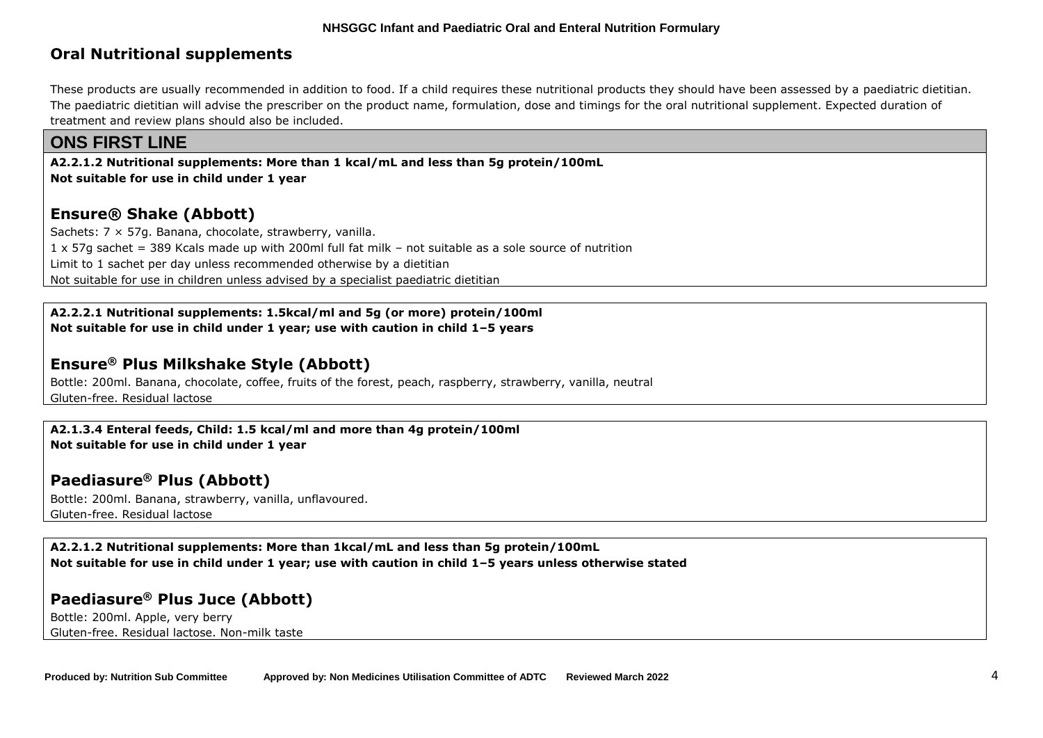# **Oral Nutritional supplements**

These products are usually recommended in addition to food. If a child requires these nutritional products they should have been assessed by a paediatric dietitian. The paediatric dietitian will advise the prescriber on the product name, formulation, dose and timings for the oral nutritional supplement. Expected duration of treatment and review plans should also be included.

# **ONS FIRST LINE**

**A2.2.1.2 Nutritional supplements: More than 1 kcal/mL and less than 5g protein/100mL Not suitable for use in child under 1 year**

# **Ensure® Shake (Abbott)**

Sachets: 7 × 57g. Banana, chocolate, strawberry, vanilla. 1 x 57g sachet = 389 Kcals made up with 200ml full fat milk – not suitable as a sole source of nutrition Limit to 1 sachet per day unless recommended otherwise by a dietitian Not suitable for use in children unless advised by a specialist paediatric dietitian

#### **A2.2.2.1 Nutritional supplements: 1.5kcal/ml and 5g (or more) protein/100ml Not suitable for use in child under 1 year; use with caution in child 1–5 years**

#### **Ensure® Plus Milkshake Style (Abbott)**

Bottle: 200ml. Banana, chocolate, coffee, fruits of the forest, peach, raspberry, strawberry, vanilla, neutral Gluten-free. Residual lactose

#### **A2.1.3.4 Enteral feeds, Child: 1.5 kcal/ml and more than 4g protein/100ml Not suitable for use in child under 1 year**

# **Paediasure® Plus (Abbott)**

Bottle: 200ml. Banana, strawberry, vanilla, unflavoured. Gluten-free. Residual lactose

**A2.2.1.2 Nutritional supplements: More than 1kcal/mL and less than 5g protein/100mL Not suitable for use in child under 1 year; use with caution in child 1–5 years unless otherwise stated**

# **Paediasure® Plus Juce (Abbott)**

Bottle: 200ml. Apple, very berry Gluten-free. Residual lactose. Non-milk taste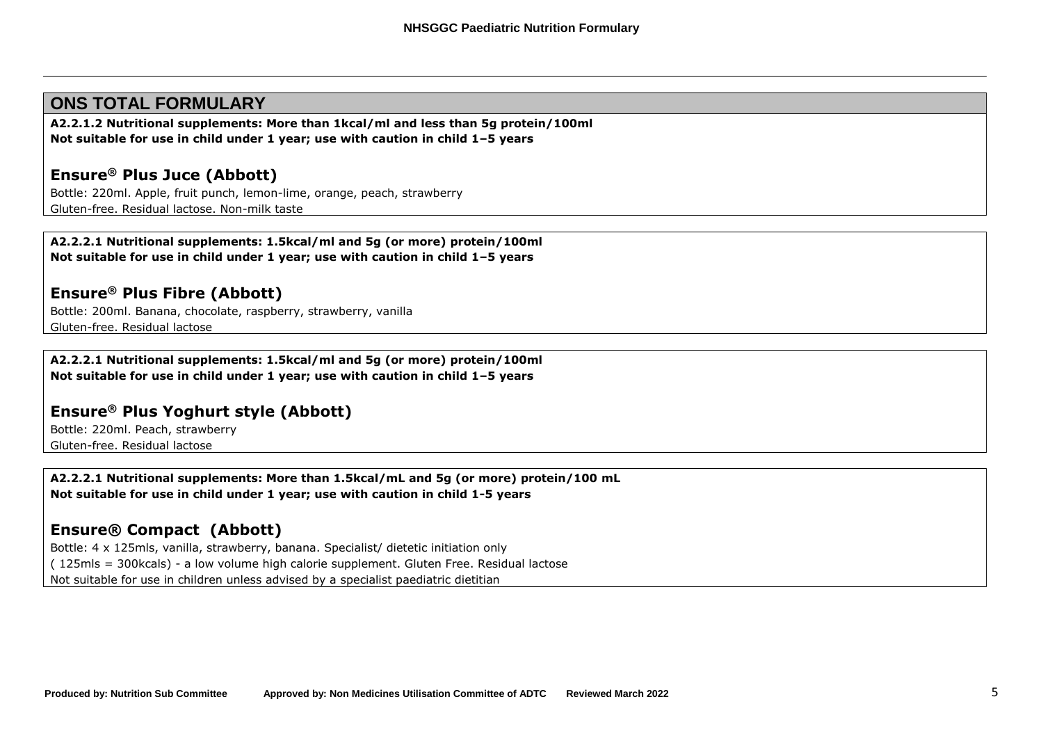# **ONS TOTAL FORMULARY**

**A2.2.1.2 Nutritional supplements: More than 1kcal/ml and less than 5g protein/100ml Not suitable for use in child under 1 year; use with caution in child 1–5 years**

# **Ensure® Plus Juce (Abbott)**

Bottle: 220ml. Apple, fruit punch, lemon-lime, orange, peach, strawberry Gluten-free. Residual lactose. Non-milk taste

**A2.2.2.1 Nutritional supplements: 1.5kcal/ml and 5g (or more) protein/100ml Not suitable for use in child under 1 year; use with caution in child 1–5 years**

### **Ensure® Plus Fibre (Abbott)**

Bottle: 200ml. Banana, chocolate, raspberry, strawberry, vanilla Gluten-free. Residual lactose

**A2.2.2.1 Nutritional supplements: 1.5kcal/ml and 5g (or more) protein/100ml Not suitable for use in child under 1 year; use with caution in child 1–5 years**

# **Ensure® Plus Yoghurt style (Abbott)**

Bottle: 220ml. Peach, strawberry Gluten-free. Residual lactose

**A2.2.2.1 Nutritional supplements: More than 1.5kcal/mL and 5g (or more) protein/100 mL Not suitable for use in child under 1 year; use with caution in child 1-5 years**

# **Ensure® Compact (Abbott)**

Bottle: 4 x 125mls, vanilla, strawberry, banana. Specialist/ dietetic initiation only ( 125mls = 300kcals) - a low volume high calorie supplement. Gluten Free. Residual lactose Not suitable for use in children unless advised by a specialist paediatric dietitian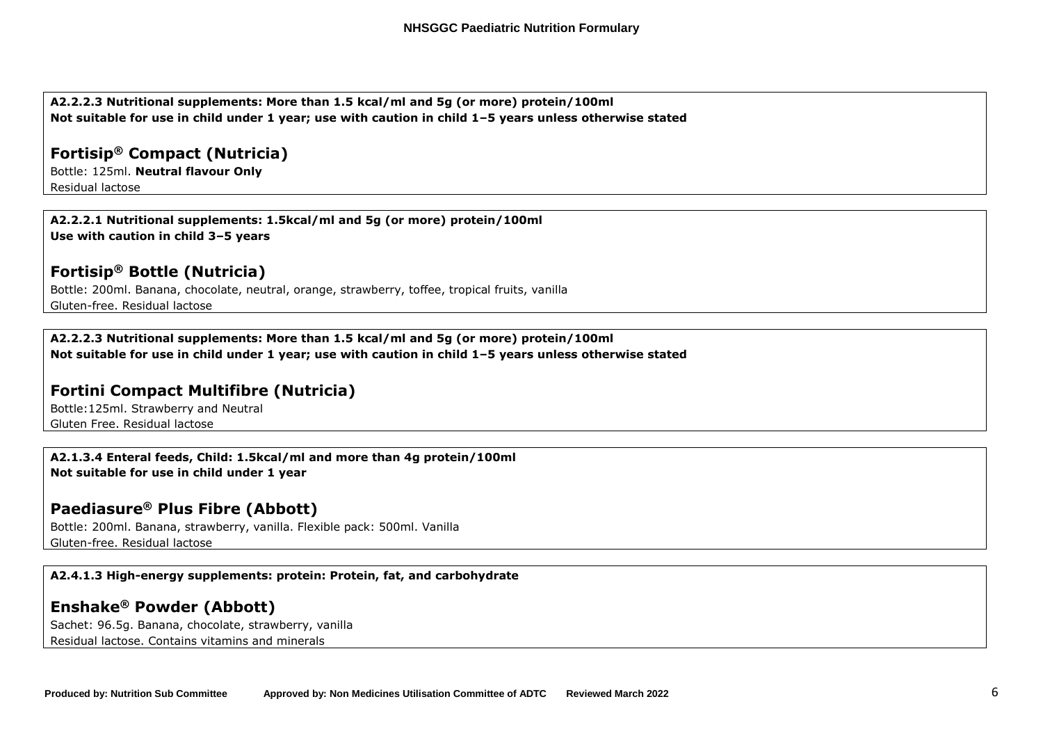**A2.2.2.3 Nutritional supplements: More than 1.5 kcal/ml and 5g (or more) protein/100ml Not suitable for use in child under 1 year; use with caution in child 1–5 years unless otherwise stated**

# **Fortisip® Compact (Nutricia)**

Bottle: 125ml. **Neutral flavour Only** Residual lactose

**A2.2.2.1 Nutritional supplements: 1.5kcal/ml and 5g (or more) protein/100ml Use with caution in child 3–5 years**

# **Fortisip® Bottle (Nutricia)**

Bottle: 200ml. Banana, chocolate, neutral, orange, strawberry, toffee, tropical fruits, vanilla Gluten-free. Residual lactose

**A2.2.2.3 Nutritional supplements: More than 1.5 kcal/ml and 5g (or more) protein/100ml Not suitable for use in child under 1 year; use with caution in child 1–5 years unless otherwise stated**

#### **Fortini Compact Multifibre (Nutricia)**

Bottle:125ml. Strawberry and Neutral Gluten Free. Residual lactose

**A2.1.3.4 Enteral feeds, Child: 1.5kcal/ml and more than 4g protein/100ml Not suitable for use in child under 1 year**

# **Paediasure® Plus Fibre (Abbott)**

Bottle: 200ml. Banana, strawberry, vanilla. Flexible pack: 500ml. Vanilla Gluten-free. Residual lactose

#### **A2.4.1.3 High-energy supplements: protein: Protein, fat, and carbohydrate**

#### **Enshake® Powder (Abbott)**

Sachet: 96.5g. Banana, chocolate, strawberry, vanilla Residual lactose. Contains vitamins and minerals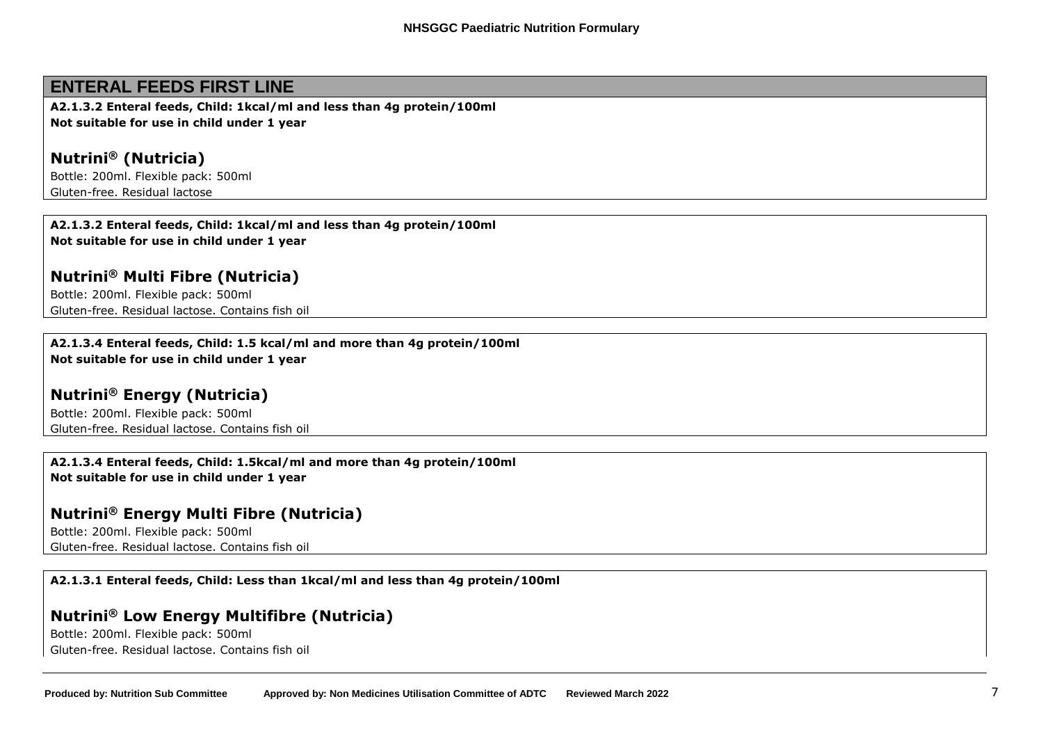# **ENTERAL FEEDS FIRST LINE**

**A2.1.3.2 Enteral feeds, Child: 1kcal/ml and less than 4g protein/100ml Not suitable for use in child under 1 year**

### **Nutrini® (Nutricia)**

Bottle: 200ml. Flexible pack: 500ml Gluten-free. Residual lactose

**A2.1.3.2 Enteral feeds, Child: 1kcal/ml and less than 4g protein/100ml Not suitable for use in child under 1 year**

#### **Nutrini® Multi Fibre (Nutricia)**

Bottle: 200ml. Flexible pack: 500ml Gluten-free. Residual lactose. Contains fish oil

**A2.1.3.4 Enteral feeds, Child: 1.5 kcal/ml and more than 4g protein/100ml Not suitable for use in child under 1 year**

# **Nutrini® Energy (Nutricia)**

Bottle: 200ml. Flexible pack: 500ml Gluten-free. Residual lactose. Contains fish oil

**A2.1.3.4 Enteral feeds, Child: 1.5kcal/ml and more than 4g protein/100ml Not suitable for use in child under 1 year**

# **Nutrini® Energy Multi Fibre (Nutricia)**

Bottle: 200ml. Flexible pack: 500ml Gluten-free. Residual lactose. Contains fish oil

**A2.1.3.1 Enteral feeds, Child: Less than 1kcal/ml and less than 4g protein/100ml**

# **Nutrini® Low Energy Multifibre (Nutricia)**

Bottle: 200ml. Flexible pack: 500ml Gluten-free. Residual lactose. Contains fish oil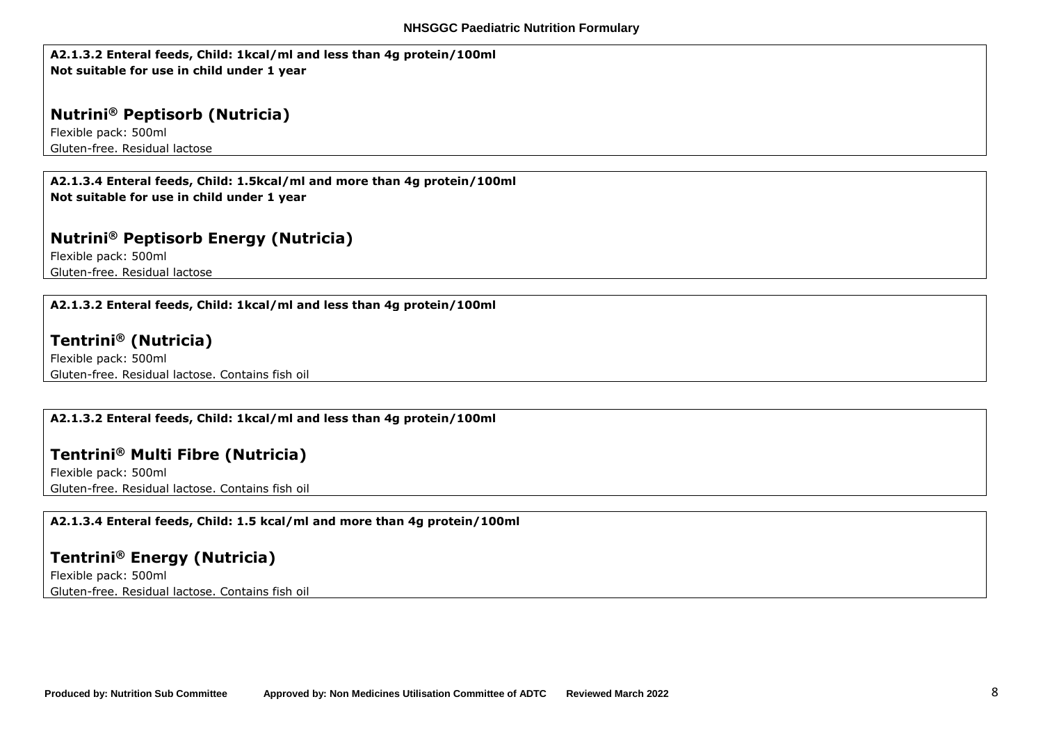**A2.1.3.2 Enteral feeds, Child: 1kcal/ml and less than 4g protein/100ml Not suitable for use in child under 1 year**

# **Nutrini® Peptisorb (Nutricia)**

Flexible pack: 500ml Gluten-free. Residual lactose

**A2.1.3.4 Enteral feeds, Child: 1.5kcal/ml and more than 4g protein/100ml Not suitable for use in child under 1 year**

#### **Nutrini® Peptisorb Energy (Nutricia)**

Flexible pack: 500ml Gluten-free. Residual lactose

**A2.1.3.2 Enteral feeds, Child: 1kcal/ml and less than 4g protein/100ml**

# **Tentrini® (Nutricia)**

Flexible pack: 500ml Gluten-free. Residual lactose. Contains fish oil

#### **A2.1.3.2 Enteral feeds, Child: 1kcal/ml and less than 4g protein/100ml**

#### **Tentrini® Multi Fibre (Nutricia)**

Flexible pack: 500ml Gluten-free. Residual lactose. Contains fish oil

**A2.1.3.4 Enteral feeds, Child: 1.5 kcal/ml and more than 4g protein/100ml**

# **Tentrini® Energy (Nutricia)**

Flexible pack: 500ml Gluten-free. Residual lactose. Contains fish oil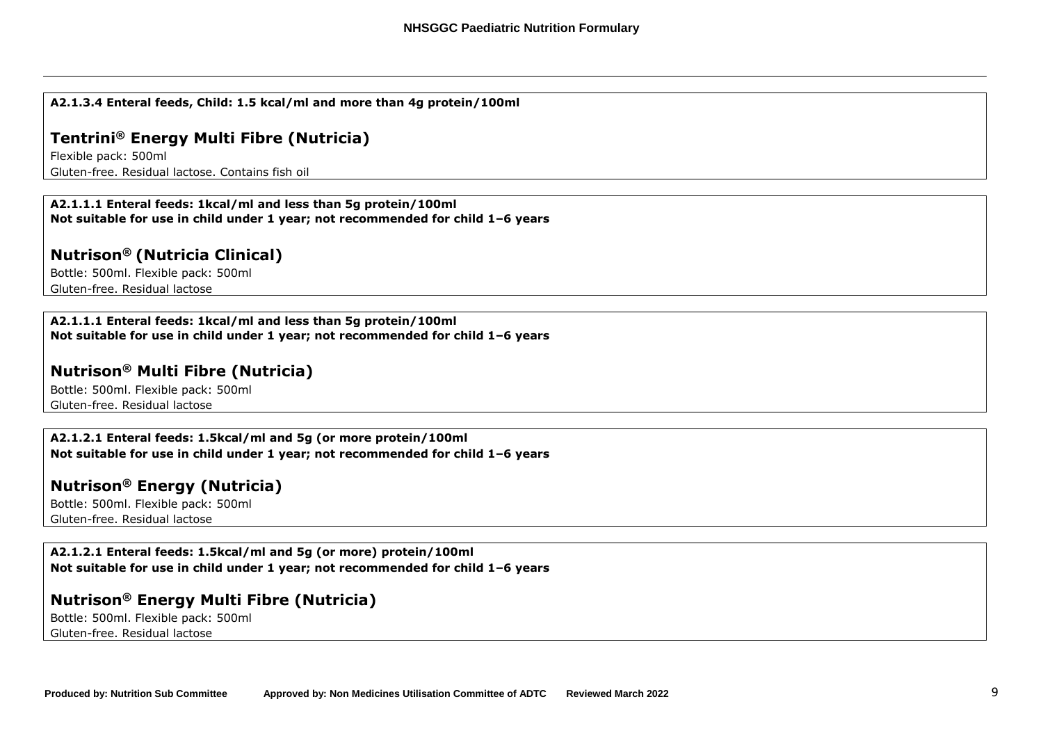**A2.1.3.4 Enteral feeds, Child: 1.5 kcal/ml and more than 4g protein/100ml**

# **Tentrini® Energy Multi Fibre (Nutricia)**

Flexible pack: 500ml Gluten-free. Residual lactose. Contains fish oil

#### **A2.1.1.1 Enteral feeds: 1kcal/ml and less than 5g protein/100ml Not suitable for use in child under 1 year; not recommended for child 1–6 years**

#### **Nutrison® (Nutricia Clinical)**

Bottle: 500ml. Flexible pack: 500ml Gluten-free. Residual lactose

**A2.1.1.1 Enteral feeds: 1kcal/ml and less than 5g protein/100ml Not suitable for use in child under 1 year; not recommended for child 1–6 years**

### **Nutrison® Multi Fibre (Nutricia)**

Bottle: 500ml. Flexible pack: 500ml Gluten-free. Residual lactose

**A2.1.2.1 Enteral feeds: 1.5kcal/ml and 5g (or more protein/100ml Not suitable for use in child under 1 year; not recommended for child 1–6 years**

# **Nutrison® Energy (Nutricia)**

Bottle: 500ml. Flexible pack: 500ml Gluten-free. Residual lactose

**A2.1.2.1 Enteral feeds: 1.5kcal/ml and 5g (or more) protein/100ml Not suitable for use in child under 1 year; not recommended for child 1–6 years**

### **Nutrison® Energy Multi Fibre (Nutricia)**

Bottle: 500ml. Flexible pack: 500ml Gluten-free. Residual lactose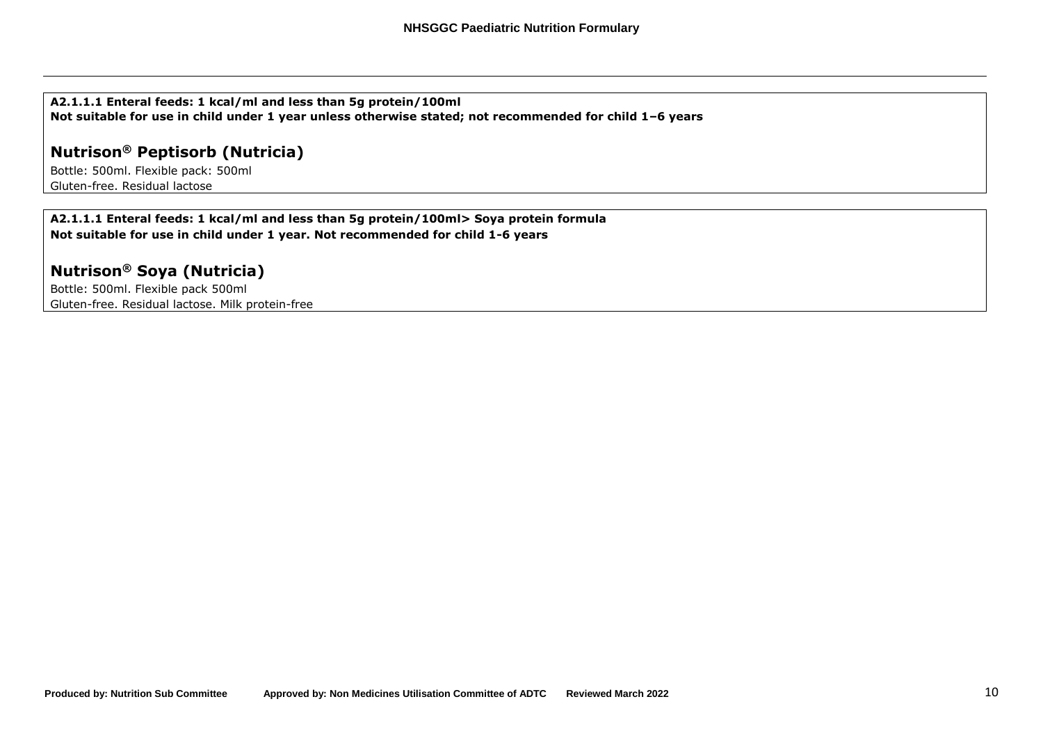**A2.1.1.1 Enteral feeds: 1 kcal/ml and less than 5g protein/100ml Not suitable for use in child under 1 year unless otherwise stated; not recommended for child 1–6 years**

#### **Nutrison® Peptisorb (Nutricia)**

Bottle: 500ml. Flexible pack: 500ml Gluten-free. Residual lactose

**A2.1.1.1 Enteral feeds: 1 kcal/ml and less than 5g protein/100ml> Soya protein formula Not suitable for use in child under 1 year. Not recommended for child 1-6 years**

### **Nutrison® Soya (Nutricia)**

Bottle: 500ml. Flexible pack 500ml Gluten-free. Residual lactose. Milk protein-free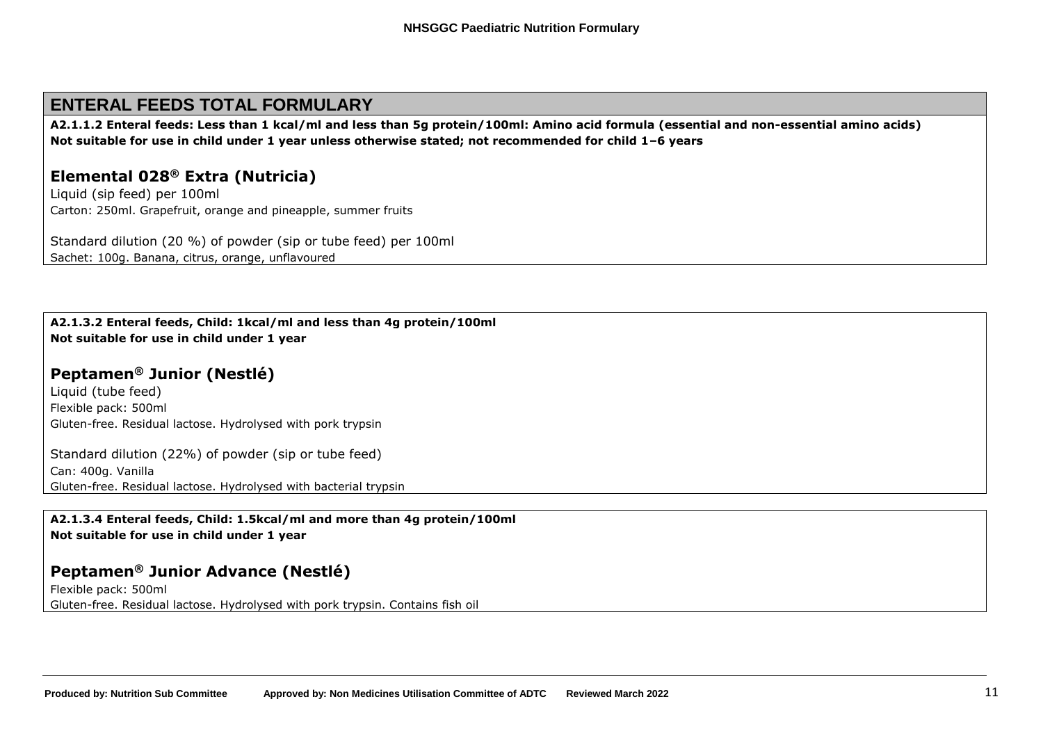# **ENTERAL FEEDS TOTAL FORMULARY**

**A2.1.1.2 Enteral feeds: Less than 1 kcal/ml and less than 5g protein/100ml: Amino acid formula (essential and non-essential amino acids) Not suitable for use in child under 1 year unless otherwise stated; not recommended for child 1–6 years**

# **Elemental 028® Extra (Nutricia)**

Liquid (sip feed) per 100ml Carton: 250ml. Grapefruit, orange and pineapple, summer fruits

Standard dilution (20 %) of powder (sip or tube feed) per 100ml Sachet: 100g. Banana, citrus, orange, unflavoured

**A2.1.3.2 Enteral feeds, Child: 1kcal/ml and less than 4g protein/100ml Not suitable for use in child under 1 year**

# **Peptamen® Junior (Nestlé)**

Liquid (tube feed) Flexible pack: 500ml Gluten-free. Residual lactose. Hydrolysed with pork trypsin

Standard dilution (22%) of powder (sip or tube feed) Can: 400g. Vanilla Gluten-free. Residual lactose. Hydrolysed with bacterial trypsin

**A2.1.3.4 Enteral feeds, Child: 1.5kcal/ml and more than 4g protein/100ml Not suitable for use in child under 1 year**

# **Peptamen® Junior Advance (Nestlé)**

Flexible pack: 500ml Gluten-free. Residual lactose. Hydrolysed with pork trypsin. Contains fish oil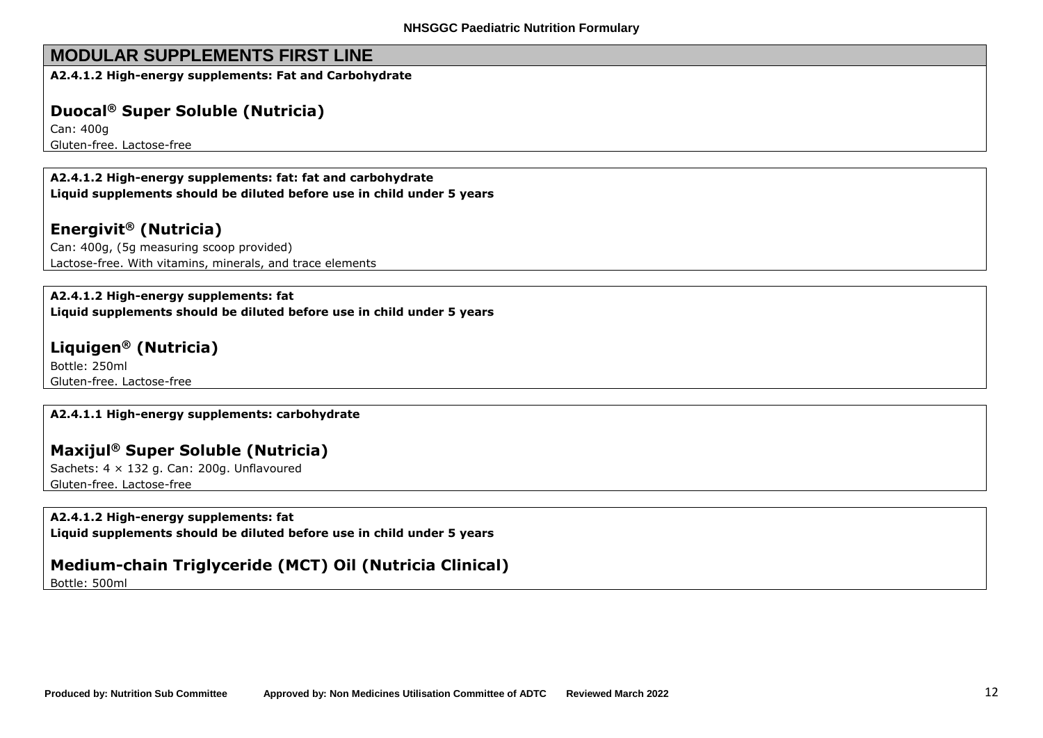# **MODULAR SUPPLEMENTS FIRST LINE**

**A2.4.1.2 High-energy supplements: Fat and Carbohydrate**

# **Duocal® Super Soluble (Nutricia)**

Can: 400g Gluten-free. Lactose-free

**A2.4.1.2 High-energy supplements: fat: fat and carbohydrate Liquid supplements should be diluted before use in child under 5 years**

# **Energivit® (Nutricia)**

Can: 400g, (5g measuring scoop provided) Lactose-free. With vitamins, minerals, and trace elements

#### **A2.4.1.2 High-energy supplements: fat Liquid supplements should be diluted before use in child under 5 years**

#### **Liquigen® (Nutricia)**

Bottle: 250ml Gluten-free. Lactose-free

#### **A2.4.1.1 High-energy supplements: carbohydrate**

# **Maxijul® Super Soluble (Nutricia)**

Sachets: 4 × 132 g. Can: 200g. Unflavoured Gluten-free. Lactose-free

#### **A2.4.1.2 High-energy supplements: fat**

**Liquid supplements should be diluted before use in child under 5 years**

# **Medium-chain Triglyceride (MCT) Oil (Nutricia Clinical)**

Bottle: 500ml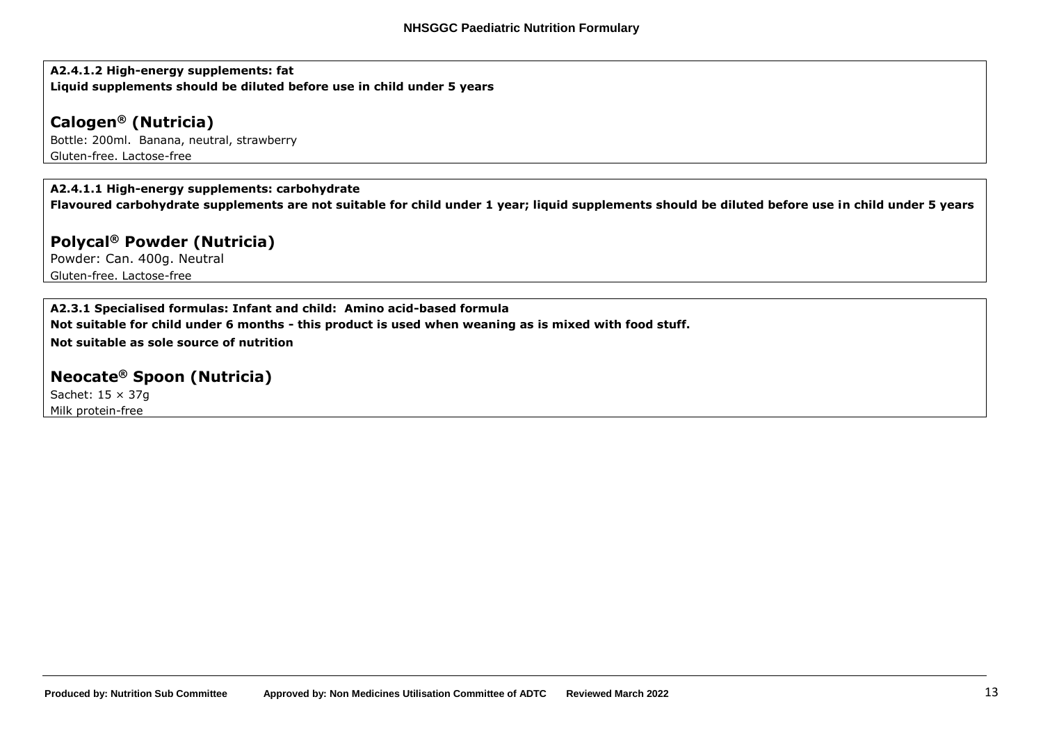**A2.4.1.2 High-energy supplements: fat Liquid supplements should be diluted before use in child under 5 years**

**Calogen® (Nutricia)**  Bottle: 200ml. Banana, neutral, strawberry Gluten-free. Lactose-free

**A2.4.1.1 High-energy supplements: carbohydrate Flavoured carbohydrate supplements are not suitable for child under 1 year; liquid supplements should be diluted before use in child under 5 years**

#### **Polycal® Powder (Nutricia)**

Powder: Can. 400g. Neutral Gluten-free. Lactose-free

**A2.3.1 Specialised formulas: Infant and child: Amino acid-based formula Not suitable for child under 6 months - this product is used when weaning as is mixed with food stuff. Not suitable as sole source of nutrition**

**Neocate® Spoon (Nutricia)**

Sachet: 15 × 37g Milk protein-free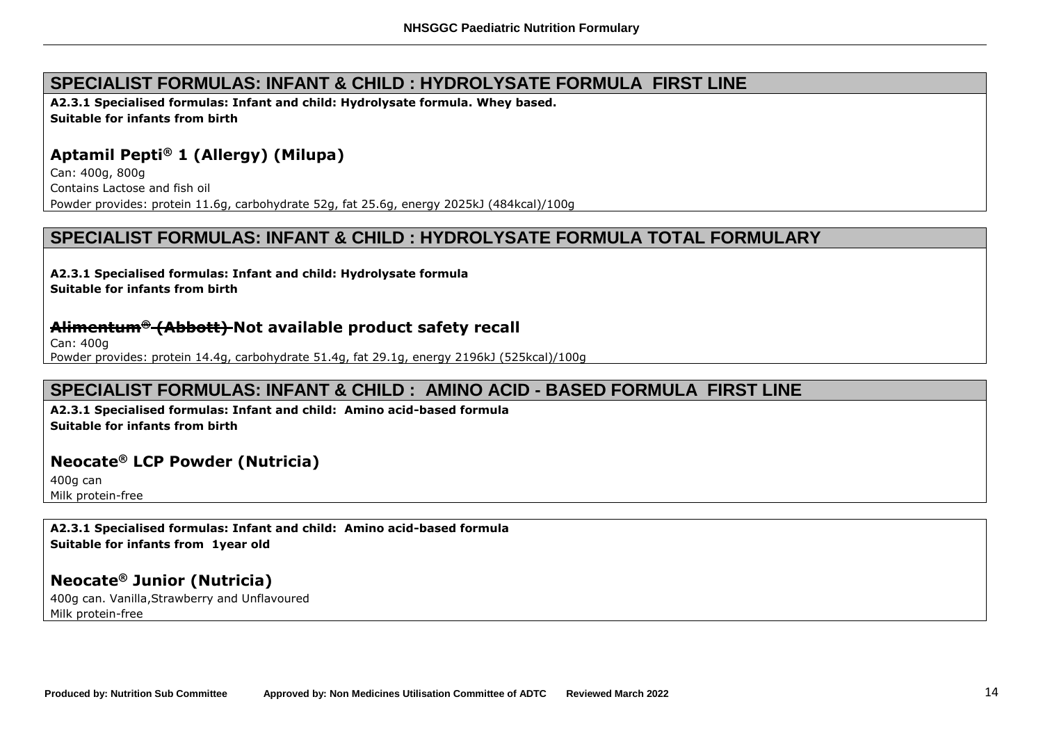# **SPECIALIST FORMULAS: INFANT & CHILD : HYDROLYSATE FORMULA FIRST LINE**

**A2.3.1 Specialised formulas: Infant and child: Hydrolysate formula. Whey based. Suitable for infants from birth**

# **Aptamil Pepti® 1 (Allergy) (Milupa)**

Can: 400g, 800g Contains Lactose and fish oil Powder provides: protein 11.6g, carbohydrate 52g, fat 25.6g, energy 2025kJ (484kcal)/100g

# **SPECIALIST FORMULAS: INFANT & CHILD : HYDROLYSATE FORMULA TOTAL FORMULARY**

**A2.3.1 Specialised formulas: Infant and child: Hydrolysate formula Suitable for infants from birth**

### **Alimentum® (Abbott) Not available product safety recall**

Can: 400g Powder provides: protein 14.4g, carbohydrate 51.4g, fat 29.1g, energy 2196kJ (525kcal)/100g

# **SPECIALIST FORMULAS: INFANT & CHILD : AMINO ACID - BASED FORMULA FIRST LINE**

**A2.3.1 Specialised formulas: Infant and child: Amino acid-based formula Suitable for infants from birth**

# **Neocate® LCP Powder (Nutricia)**

400g can Milk protein-free

**A2.3.1 Specialised formulas: Infant and child: Amino acid-based formula Suitable for infants from 1year old** 

# **Neocate® Junior (Nutricia)**

400g can. Vanilla,Strawberry and Unflavoured Milk protein-free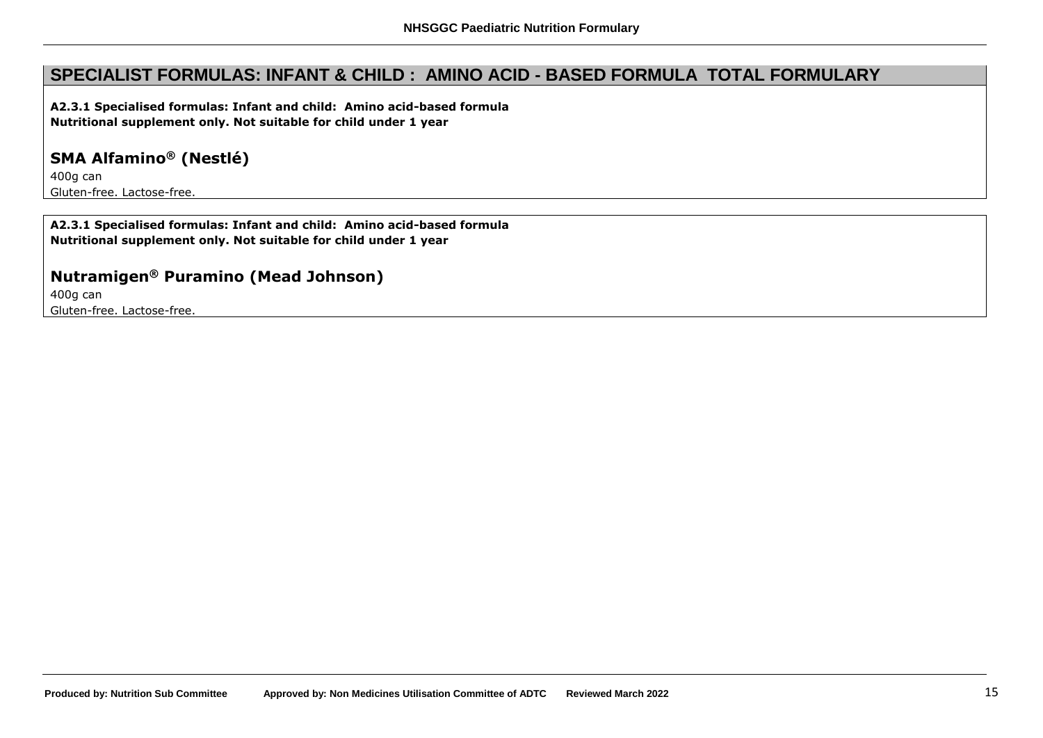# **SPECIALIST FORMULAS: INFANT & CHILD : AMINO ACID - BASED FORMULA TOTAL FORMULARY**

**A2.3.1 Specialised formulas: Infant and child: Amino acid-based formula Nutritional supplement only. Not suitable for child under 1 year**

# **SMA Alfamino® (Nestlé)**

400g can Gluten-free. Lactose-free.

**A2.3.1 Specialised formulas: Infant and child: Amino acid-based formula Nutritional supplement only. Not suitable for child under 1 year**

#### **Nutramigen® Puramino (Mead Johnson)**

400g can Gluten-free. Lactose-free.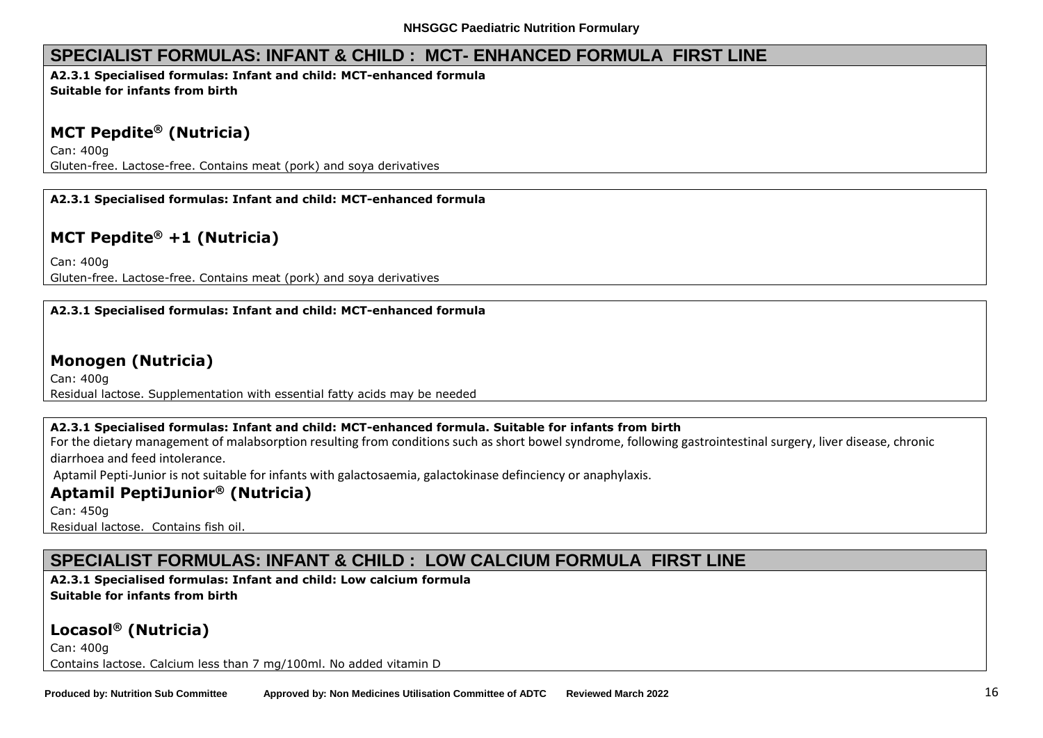# **SPECIALIST FORMULAS: INFANT & CHILD : MCT- ENHANCED FORMULA FIRST LINE**

**A2.3.1 Specialised formulas: Infant and child: MCT-enhanced formula Suitable for infants from birth**

# **MCT Pepdite® (Nutricia)**

Can: 400g Gluten-free. Lactose-free. Contains meat (pork) and soya derivatives

**A2.3.1 Specialised formulas: Infant and child: MCT-enhanced formula**

# **MCT Pepdite® +1 (Nutricia)**

Can: 400g Gluten-free. Lactose-free. Contains meat (pork) and soya derivatives

**A2.3.1 Specialised formulas: Infant and child: MCT-enhanced formula**

# **Monogen (Nutricia)**

Can: 400g Residual lactose. Supplementation with essential fatty acids may be needed

#### **A2.3.1 Specialised formulas: Infant and child: MCT-enhanced formula. Suitable for infants from birth**

For the dietary management of malabsorption resulting from conditions such as short bowel syndrome, following gastrointestinal surgery, liver disease, chronic diarrhoea and feed intolerance.

Aptamil Pepti-Junior is not suitable for infants with galactosaemia, galactokinase definciency or anaphylaxis.

# **Aptamil PeptiJunior® (Nutricia)**

Can: 450g Residual lactose. Contains fish oil.

# **SPECIALIST FORMULAS: INFANT & CHILD : LOW CALCIUM FORMULA FIRST LINE**

**A2.3.1 Specialised formulas: Infant and child: Low calcium formula Suitable for infants from birth**

# **Locasol® (Nutricia)**

Can: 400g Contains lactose. Calcium less than 7 mg/100ml. No added vitamin D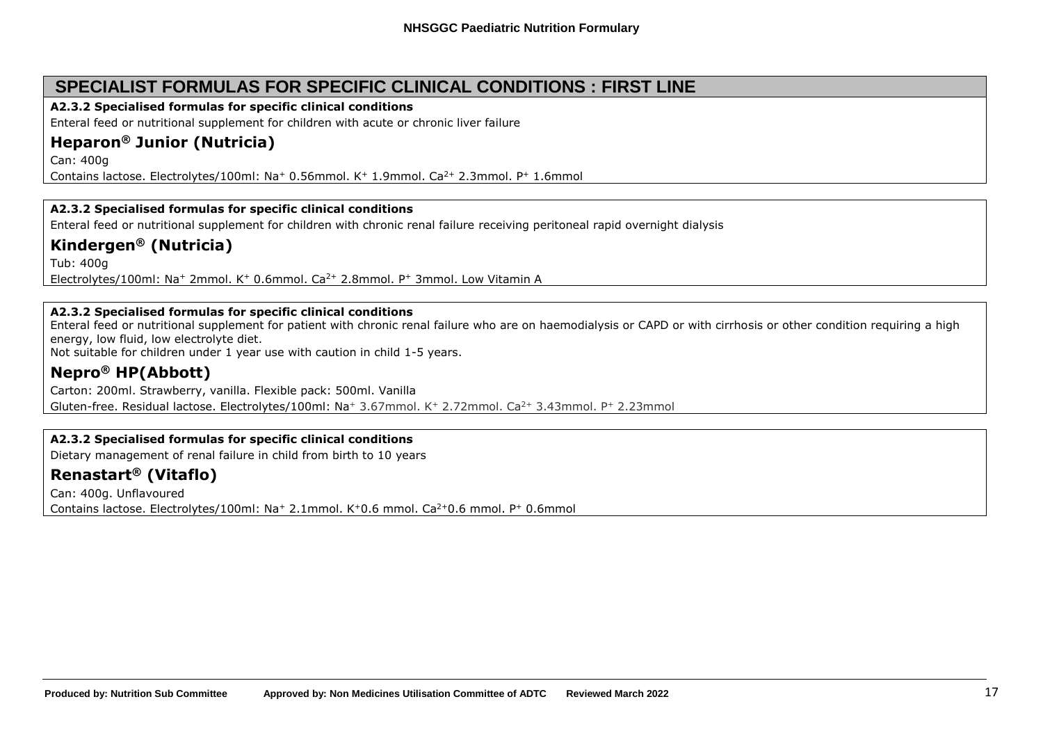# **SPECIALIST FORMULAS FOR SPECIFIC CLINICAL CONDITIONS : FIRST LINE**

#### **A2.3.2 Specialised formulas for specific clinical conditions**

Enteral feed or nutritional supplement for children with acute or chronic liver failure

#### **Heparon® Junior (Nutricia)**

Can: 400g

Contains lactose. Electrolytes/100ml: Na+ 0.56mmol.  $K^+$  1.9mmol. Ca<sup>2+</sup> 2.3mmol. P+ 1.6mmol

#### **A2.3.2 Specialised formulas for specific clinical conditions**

Enteral feed or nutritional supplement for children with chronic renal failure receiving peritoneal rapid overnight dialysis

# **Kindergen® (Nutricia)**

Tub: 400g Electrolytes/100ml: Na<sup>+</sup> 2mmol. K<sup>+</sup> 0.6mmol. Ca<sup>2+</sup> 2.8mmol. P<sup>+</sup> 3mmol. Low Vitamin A

#### **A2.3.2 Specialised formulas for specific clinical conditions**

Enteral feed or nutritional supplement for patient with chronic renal failure who are on haemodialysis or CAPD or with cirrhosis or other condition requiring a high energy, low fluid, low electrolyte diet.

Not suitable for children under 1 year use with caution in child 1-5 years.

#### **Nepro® HP(Abbott)**

Carton: 200ml. Strawberry, vanilla. Flexible pack: 500ml. Vanilla Gluten-free. Residual lactose. Electrolytes/100ml: Na+ 3.67mmol. K+ 2.72mmol. Ca<sup>2+</sup> 3.43mmol. P+ 2.23mmol

#### **A2.3.2 Specialised formulas for specific clinical conditions**

Dietary management of renal failure in child from birth to 10 years

#### **Renastart® (Vitaflo)**

Can: 400g. Unflavoured Contains lactose. Electrolytes/100ml: Na<sup>+</sup> 2.1mmol. K<sup>+</sup>0.6 mmol. Ca2+0.6 mmol. P<sup>+</sup> 0.6mmol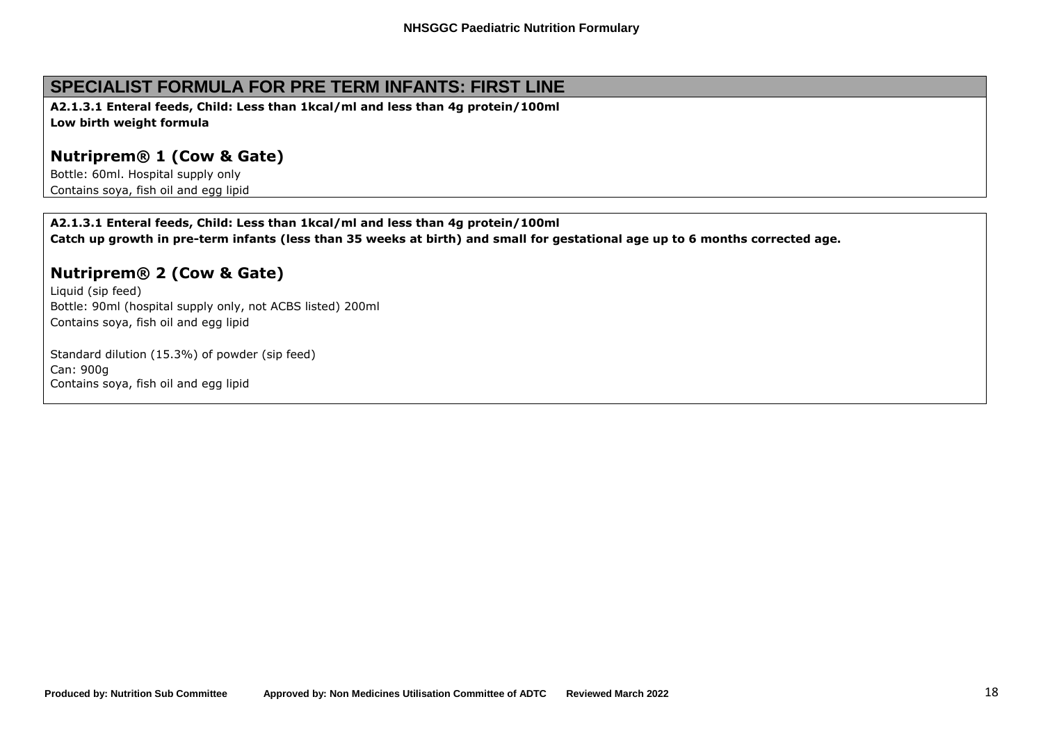# **SPECIALIST FORMULA FOR PRE TERM INFANTS: FIRST LINE**

**A2.1.3.1 Enteral feeds, Child: Less than 1kcal/ml and less than 4g protein/100ml Low birth weight formula**

# **Nutriprem® 1 (Cow & Gate)**

Bottle: 60ml. Hospital supply only Contains soya, fish oil and egg lipid

**A2.1.3.1 Enteral feeds, Child: Less than 1kcal/ml and less than 4g protein/100ml Catch up growth in pre-term infants (less than 35 weeks at birth) and small for gestational age up to 6 months corrected age.**

### **Nutriprem® 2 (Cow & Gate)**

Liquid (sip feed) Bottle: 90ml (hospital supply only, not ACBS listed) 200ml Contains soya, fish oil and egg lipid

Standard dilution (15.3%) of powder (sip feed) Can: 900g Contains soya, fish oil and egg lipid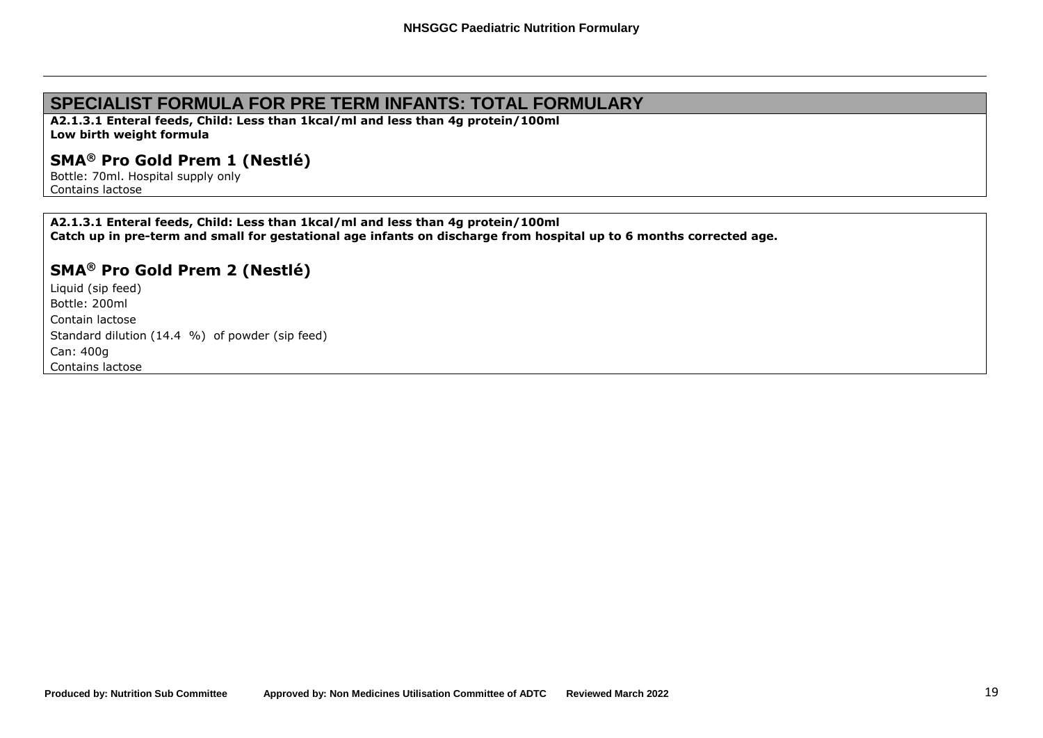# **SPECIALIST FORMULA FOR PRE TERM INFANTS: TOTAL FORMULARY**

**A2.1.3.1 Enteral feeds, Child: Less than 1kcal/ml and less than 4g protein/100ml Low birth weight formula**

# **SMA® Pro Gold Prem 1 (Nestlé)**

Bottle: 70ml. Hospital supply only Contains lactose

**A2.1.3.1 Enteral feeds, Child: Less than 1kcal/ml and less than 4g protein/100ml Catch up in pre-term and small for gestational age infants on discharge from hospital up to 6 months corrected age.**

# **SMA® Pro Gold Prem 2 (Nestlé)**

Liquid (sip feed) Bottle: 200ml Contain lactose Standard dilution (14.4 %) of powder (sip feed) Can: 400g Contains lactose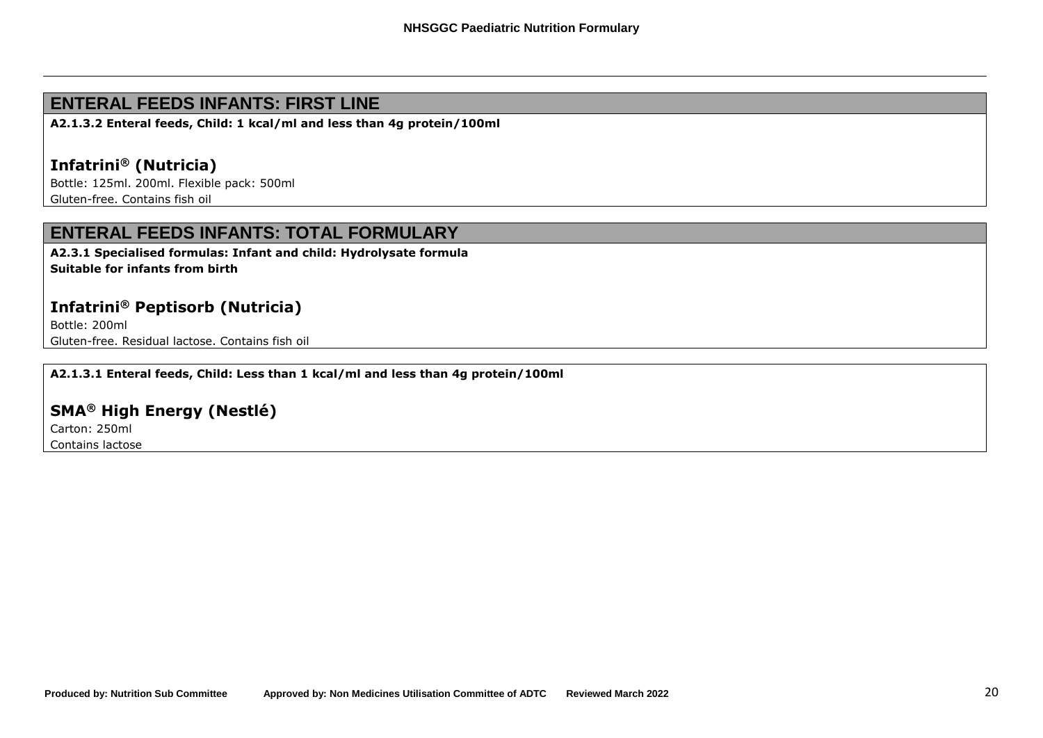# **ENTERAL FEEDS INFANTS: FIRST LINE**

**A2.1.3.2 Enteral feeds, Child: 1 kcal/ml and less than 4g protein/100ml**

# **Infatrini® (Nutricia)**

Bottle: 125ml. 200ml. Flexible pack: 500ml Gluten-free. Contains fish oil

# **ENTERAL FEEDS INFANTS: TOTAL FORMULARY**

**A2.3.1 Specialised formulas: Infant and child: Hydrolysate formula Suitable for infants from birth**

# **Infatrini® Peptisorb (Nutricia)**

Bottle: 200ml Gluten-free. Residual lactose. Contains fish oil

**A2.1.3.1 Enteral feeds, Child: Less than 1 kcal/ml and less than 4g protein/100ml**

# **SMA® High Energy (Nestlé)**

Carton: 250ml Contains lactose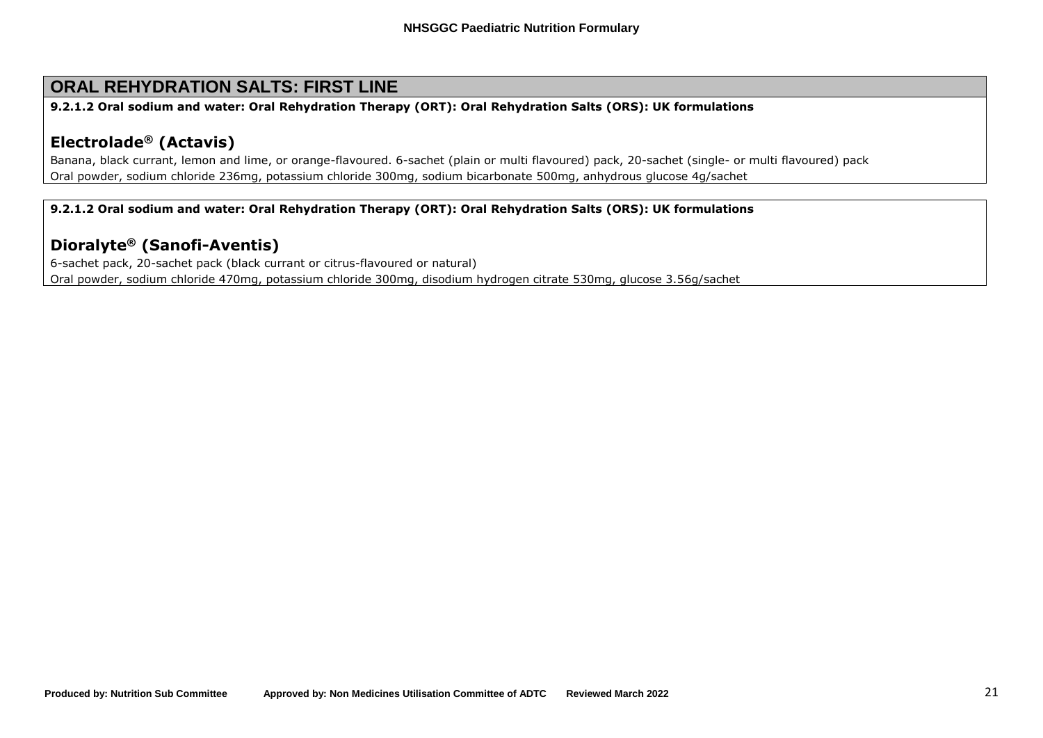# **ORAL REHYDRATION SALTS: FIRST LINE**

**9.2.1.2 Oral sodium and water: Oral Rehydration Therapy (ORT): Oral Rehydration Salts (ORS): UK formulations**

# **Electrolade® (Actavis)**

Banana, black currant, lemon and lime, or orange-flavoured. 6-sachet (plain or multi flavoured) pack, 20-sachet (single- or multi flavoured) pack Oral powder, sodium chloride 236mg, potassium chloride 300mg, sodium bicarbonate 500mg, anhydrous glucose 4g/sachet

#### **9.2.1.2 Oral sodium and water: Oral Rehydration Therapy (ORT): Oral Rehydration Salts (ORS): UK formulations**

# **Dioralyte® (Sanofi-Aventis)**

6-sachet pack, 20-sachet pack (black currant or citrus-flavoured or natural) Oral powder, sodium chloride 470mg, potassium chloride 300mg, disodium hydrogen citrate 530mg, glucose 3.56g/sachet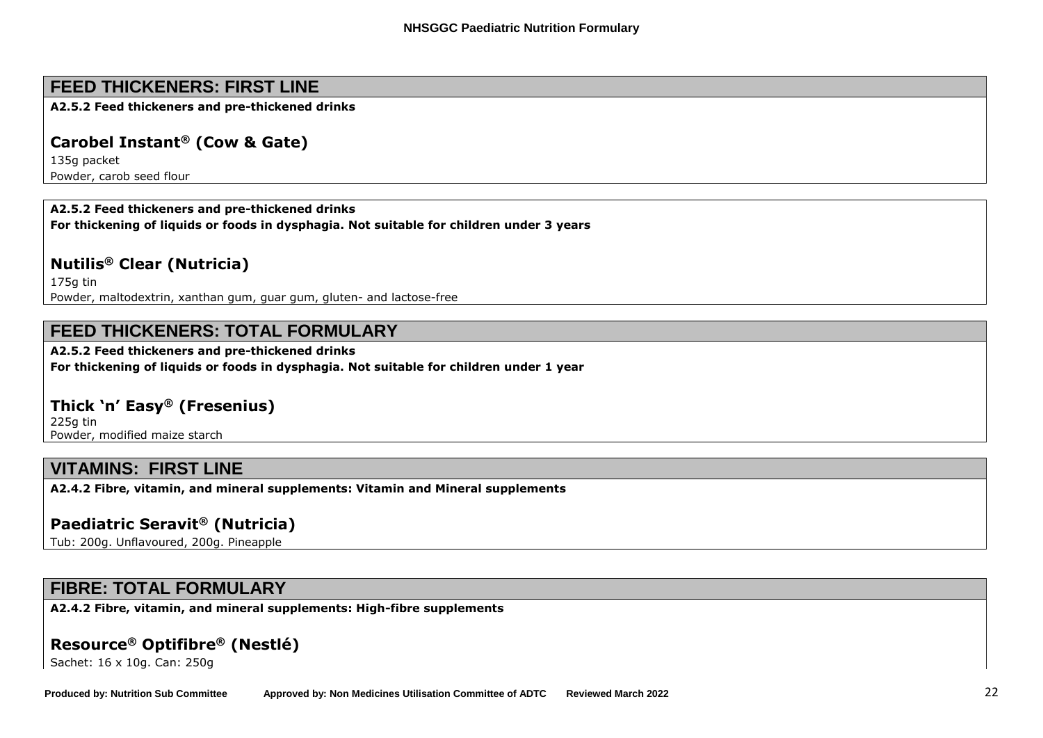# **FEED THICKENERS: FIRST LINE**

**A2.5.2 Feed thickeners and pre-thickened drinks**

### **Carobel Instant® (Cow & Gate)**

135g packet Powder, carob seed flour

**A2.5.2 Feed thickeners and pre-thickened drinks For thickening of liquids or foods in dysphagia. Not suitable for children under 3 years**

# **Nutilis® Clear (Nutricia)**

175g tin Powder, maltodextrin, xanthan gum, guar gum, gluten- and lactose-free

# **FEED THICKENERS: TOTAL FORMULARY**

**A2.5.2 Feed thickeners and pre-thickened drinks**

**For thickening of liquids or foods in dysphagia. Not suitable for children under 1 year**

#### **Thick 'n' Easy® (Fresenius)**

225g tin Powder, modified maize starch

# **VITAMINS: FIRST LINE**

**A2.4.2 Fibre, vitamin, and mineral supplements: Vitamin and Mineral supplements**

# **Paediatric Seravit® (Nutricia)**

Tub: 200g. Unflavoured, 200g. Pineapple

# **FIBRE: TOTAL FORMULARY**

**A2.4.2 Fibre, vitamin, and mineral supplements: High-fibre supplements**

# **Resource® Optifibre® (Nestlé)**

Sachet: 16 x 10g. Can: 250g